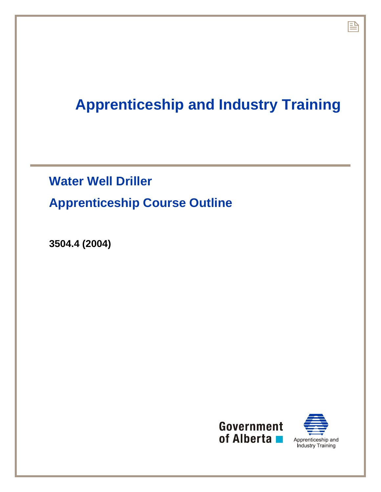## **Apprenticeship and Industry Training**

## **Water Well Driller Apprenticeship Course Outline**

**3504.4 (2004)** 





昏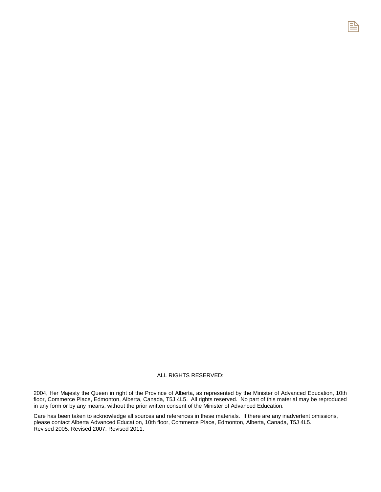## ALL RIGHTS RESERVED:

2004, Her Majesty the Queen in right of the Province of Alberta, as represented by the Minister of Advanced Education, 10th floor, Commerce Place, Edmonton, Alberta, Canada, T5J 4L5. All rights reserved. No part of this material may be reproduced in any form or by any means, without the prior written consent of the Minister of Advanced Education.

Care has been taken to acknowledge all sources and references in these materials. If there are any inadvertent omissions, please contact Alberta Advanced Education, 10th floor, Commerce Place, Edmonton, Alberta, Canada, T5J 4L5. Revised 2005. Revised 2007. Revised 2011.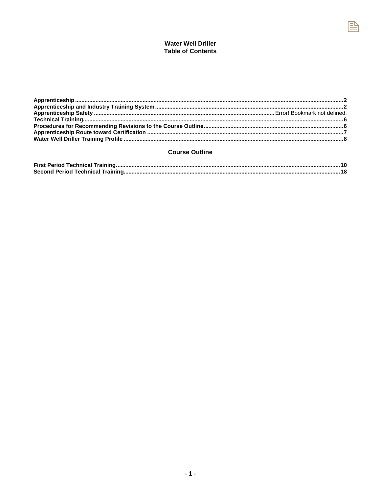## **Water Well Driller Table of Contents**

昏

## **Course Outline**

| <b>First Period Technical Training</b> |  |
|----------------------------------------|--|
| Second Period Technical Training       |  |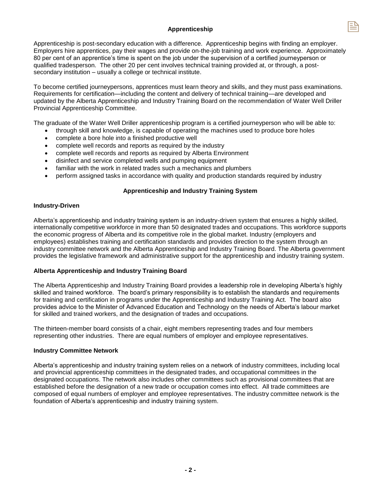## **Apprenticeship**

Apprenticeship is post-secondary education with a difference. Apprenticeship begins with finding an employer. Employers hire apprentices, pay their wages and provide on-the-job training and work experience. Approximately 80 per cent of an apprentice's time is spent on the job under the supervision of a certified journeyperson or qualified tradesperson. The other 20 per cent involves technical training provided at, or through, a postsecondary institution – usually a college or technical institute.

To become certified journeypersons, apprentices must learn theory and skills, and they must pass examinations. Requirements for certification—including the content and delivery of technical training—are developed and updated by the Alberta Apprenticeship and Industry Training Board on the recommendation of Water Well Driller Provincial Apprenticeship Committee.

The graduate of the Water Well Driller apprenticeship program is a certified journeyperson who will be able to:

- through skill and knowledge, is capable of operating the machines used to produce bore holes
- complete a bore hole into a finished productive well
- complete well records and reports as required by the industry
- complete well records and reports as required by Alberta Environment
- disinfect and service completed wells and pumping equipment
- familiar with the work in related trades such a mechanics and plumbers
- perform assigned tasks in accordance with quality and production standards required by industry

## **Apprenticeship and Industry Training System**

## **Industry-Driven**

Alberta's apprenticeship and industry training system is an industry-driven system that ensures a highly skilled, internationally competitive workforce in more than 50 designated trades and occupations. This workforce supports the economic progress of Alberta and its competitive role in the global market. Industry (employers and employees) establishes training and certification standards and provides direction to the system through an industry committee network and the Alberta Apprenticeship and Industry Training Board. The Alberta government provides the legislative framework and administrative support for the apprenticeship and industry training system.

## **Alberta Apprenticeship and Industry Training Board**

The Alberta Apprenticeship and Industry Training Board provides a leadership role in developing Alberta's highly skilled and trained workforce. The board's primary responsibility is to establish the standards and requirements for training and certification in programs under the Apprenticeship and Industry Training Act. The board also provides advice to the Minister of Advanced Education and Technology on the needs of Alberta's labour market for skilled and trained workers, and the designation of trades and occupations.

The thirteen-member board consists of a chair, eight members representing trades and four members representing other industries. There are equal numbers of employer and employee representatives.

## **Industry Committee Network**

Alberta's apprenticeship and industry training system relies on a network of industry committees, including local and provincial apprenticeship committees in the designated trades, and occupational committees in the designated occupations. The network also includes other committees such as provisional committees that are established before the designation of a new trade or occupation comes into effect. All trade committees are composed of equal numbers of employer and employee representatives. The industry committee network is the foundation of Alberta's apprenticeship and industry training system.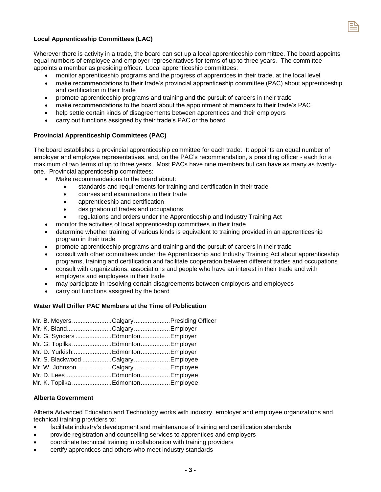

## **Local Apprenticeship Committees (LAC)**

Wherever there is activity in a trade, the board can set up a local apprenticeship committee. The board appoints equal numbers of employee and employer representatives for terms of up to three years. The committee appoints a member as presiding officer. Local apprenticeship committees:

- monitor apprenticeship programs and the progress of apprentices in their trade, at the local level
- make recommendations to their trade's provincial apprenticeship committee (PAC) about apprenticeship and certification in their trade
- promote apprenticeship programs and training and the pursuit of careers in their trade
- make recommendations to the board about the appointment of members to their trade's PAC
- help settle certain kinds of disagreements between apprentices and their employers
- carry out functions assigned by their trade's PAC or the board

#### **Provincial Apprenticeship Committees (PAC)**

The board establishes a provincial apprenticeship committee for each trade. It appoints an equal number of employer and employee representatives, and, on the PAC's recommendation, a presiding officer - each for a maximum of two terms of up to three years. Most PACs have nine members but can have as many as twentyone. Provincial apprenticeship committees:

- Make recommendations to the board about:
	- standards and requirements for training and certification in their trade
	- courses and examinations in their trade
	- apprenticeship and certification
	- designation of trades and occupations
	- regulations and orders under the Apprenticeship and Industry Training Act
- monitor the activities of local apprenticeship committees in their trade
- determine whether training of various kinds is equivalent to training provided in an apprenticeship program in their trade
- promote apprenticeship programs and training and the pursuit of careers in their trade
- consult with other committees under the Apprenticeship and Industry Training Act about apprenticeship programs, training and certification and facilitate cooperation between different trades and occupations
- consult with organizations, associations and people who have an interest in their trade and with employers and employees in their trade
- may participate in resolving certain disagreements between employers and employees
- carry out functions assigned by the board

#### **Water Well Driller PAC Members at the Time of Publication**

| Mr. B. MeyersCalgaryPresiding Officer |  |
|---------------------------------------|--|
| Mr. K. BlandCalgaryEmployer           |  |
| Mr. G. Synders Edmonton Employer      |  |
| Mr. G. TopilkaEdmontonEmployer        |  |
| Mr. D. YurkishEdmontonEmployer        |  |
| Mr. S. Blackwood Calgary  Employee    |  |
| Mr. W. Johnson Calgary  Employee      |  |
| Mr. D. LeesEdmontonEmployee           |  |
| Mr. K. Topilka Edmonton  Employee     |  |

## **Alberta Government**

Alberta Advanced Education and Technology works with industry, employer and employee organizations and technical training providers to:

- facilitate industry's development and maintenance of training and certification standards
- provide registration and counselling services to apprentices and employers
- coordinate technical training in collaboration with training providers
- certify apprentices and others who meet industry standards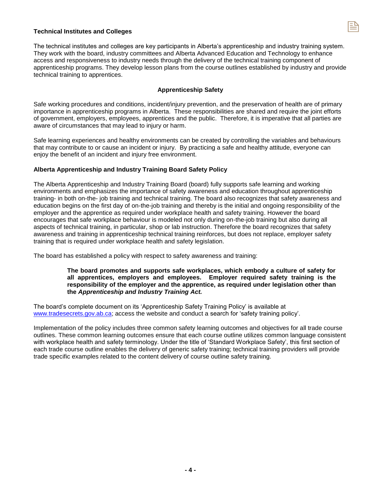

#### **Technical Institutes and Colleges**

The technical institutes and colleges are key participants in Alberta's apprenticeship and industry training system. They work with the board, industry committees and Alberta Advanced Education and Technology to enhance access and responsiveness to industry needs through the delivery of the technical training component of apprenticeship programs. They develop lesson plans from the course outlines established by industry and provide technical training to apprentices.

#### **Apprenticeship Safety**

Safe working procedures and conditions, incident/injury prevention, and the preservation of health are of primary importance in apprenticeship programs in Alberta. These responsibilities are shared and require the joint efforts of government, employers, employees, apprentices and the public. Therefore, it is imperative that all parties are aware of circumstances that may lead to injury or harm.

Safe learning experiences and healthy environments can be created by controlling the variables and behaviours that may contribute to or cause an incident or injury. By practicing a safe and healthy attitude, everyone can enjoy the benefit of an incident and injury free environment.

#### **Alberta Apprenticeship and Industry Training Board Safety Policy**

The Alberta Apprenticeship and Industry Training Board (board) fully supports safe learning and working environments and emphasizes the importance of safety awareness and education throughout apprenticeship training- in both on-the- job training and technical training. The board also recognizes that safety awareness and education begins on the first day of on-the-job training and thereby is the initial and ongoing responsibility of the employer and the apprentice as required under workplace health and safety training. However the board encourages that safe workplace behaviour is modeled not only during on-the-job training but also during all aspects of technical training, in particular, shop or lab instruction. Therefore the board recognizes that safety awareness and training in apprenticeship technical training reinforces, but does not replace, employer safety training that is required under workplace health and safety legislation.

The board has established a policy with respect to safety awareness and training:

#### **The board promotes and supports safe workplaces, which embody a culture of safety for all apprentices, employers and employees. Employer required safety training is the responsibility of the employer and the apprentice, as required under legislation other than the** *Apprenticeship and Industry Training Act.*

The board's complete document on its 'Apprenticeship Safety Training Policy' is available at www.tradesecrets.gov.ab.ca; access the website and conduct a search for 'safety training policy'.

Implementation of the policy includes three common safety learning outcomes and objectives for all trade course outlines. These common learning outcomes ensure that each course outline utilizes common language consistent with workplace health and safety terminology. Under the title of 'Standard Workplace Safety', this first section of each trade course outline enables the delivery of generic safety training; technical training providers will provide trade specific examples related to the content delivery of course outline safety training.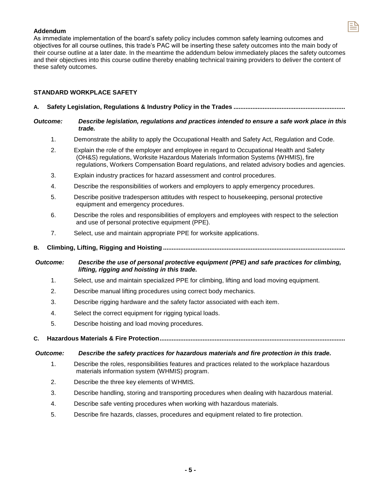## **Addendum**

As immediate implementation of the board's safety policy includes common safety learning outcomes and objectives for all course outlines, this trade's PAC will be inserting these safety outcomes into the main body of their course outline at a later date. In the meantime the addendum below immediately places the safety outcomes and their objectives into this course outline thereby enabling technical training providers to deliver the content of these safety outcomes.

## **STANDARD WORKPLACE SAFETY**

- **A. Safety Legislation, Regulations & Industry Policy in the Trades .................................................................**
- *Outcome: Describe legislation, regulations and practices intended to ensure a safe work place in this trade.* 
	- 1. Demonstrate the ability to apply the Occupational Health and Safety Act, Regulation and Code.
	- 2. Explain the role of the employer and employee in regard to Occupational Health and Safety (OH&S) regulations, Worksite Hazardous Materials Information Systems (WHMIS), fire regulations, Workers Compensation Board regulations, and related advisory bodies and agencies.
	- 3. Explain industry practices for hazard assessment and control procedures.
	- 4. Describe the responsibilities of workers and employers to apply emergency procedures.
	- 5. Describe positive tradesperson attitudes with respect to housekeeping, personal protective equipment and emergency procedures.
	- 6. Describe the roles and responsibilities of employers and employees with respect to the selection and use of personal protective equipment (PPE).
	- 7. Select, use and maintain appropriate PPE for worksite applications.
- **B. Climbing, Lifting, Rigging and Hoisting ..........................................................................................................**

## *Outcome: Describe the use of personal protective equipment (PPE) and safe practices for climbing, lifting, rigging and hoisting in this trade.*

- 1. Select, use and maintain specialized PPE for climbing, lifting and load moving equipment.
- 2. Describe manual lifting procedures using correct body mechanics.
- 3. Describe rigging hardware and the safety factor associated with each item.
- 4. Select the correct equipment for rigging typical loads.
- 5. Describe hoisting and load moving procedures.
- **C. Hazardous Materials & Fire Protection ............................................................................................................**

## *Outcome: Describe the safety practices for hazardous materials and fire protection in this trade.*

- 1. Describe the roles, responsibilities features and practices related to the workplace hazardous materials information system (WHMIS) program.
- 2. Describe the three key elements of WHMIS.
- 3. Describe handling, storing and transporting procedures when dealing with hazardous material.
- 4. Describe safe venting procedures when working with hazardous materials.
- 5. Describe fire hazards, classes, procedures and equipment related to fire protection.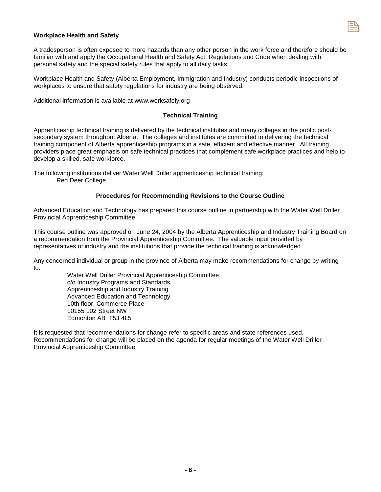## **Workplace Health and Safety**

A tradesperson is often exposed to more hazards than any other person in the work force and therefore should be familiar with and apply the Occupational Health and Safety Act, Regulations and Code when dealing with personal safety and the special safety rules that apply to all daily tasks.

Workplace Health and Safety (Alberta Employment, Immigration and Industry) conducts periodic inspections of workplaces to ensure that safety regulations for industry are being observed.

Additional information is available at www.worksafely.org

#### **Technical Training**

Apprenticeship technical training is delivered by the technical institutes and many colleges in the public postsecondary system throughout Alberta. The colleges and institutes are committed to delivering the technical training component of Alberta apprenticeship programs in a safe, efficient and effective manner. All training providers place great emphasis on safe technical practices that complement safe workplace practices and help to develop a skilled, safe workforce.

The following institutions deliver Water Well Driller apprenticeship technical training: Red Deer College

#### **Procedures for Recommending Revisions to the Course Outline**

Advanced Education and Technology has prepared this course outline in partnership with the Water Well Driller Provincial Apprenticeship Committee.

This course outline was approved on June 24, 2004 by the Alberta Apprenticeship and Industry Training Board on a recommendation from the Provincial Apprenticeship Committee. The valuable input provided by representatives of industry and the institutions that provide the technical training is acknowledged.

Any concerned individual or group in the province of Alberta may make recommendations for change by writing to:

> Water Well Driller Provincial Apprenticeship Committee c/o Industry Programs and Standards Apprenticeship and Industry Training Advanced Education and Technology 10th floor, Commerce Place 10155 102 Street NW Edmonton AB T5J 4L5

It is requested that recommendations for change refer to specific areas and state references used. Recommendations for change will be placed on the agenda for regular meetings of the Water Well Driller Provincial Apprenticeship Committee.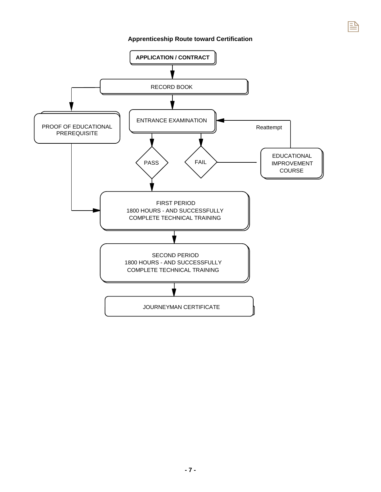## **Apprenticeship Route toward Certification**

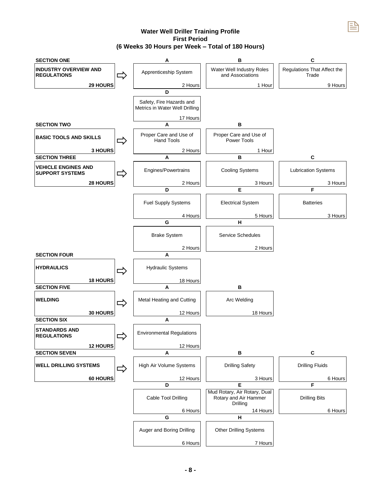## **Water Well Driller Training Profile First Period (6 Weeks 30 Hours per Week – Total of 180 Hours)**



**- 8 -**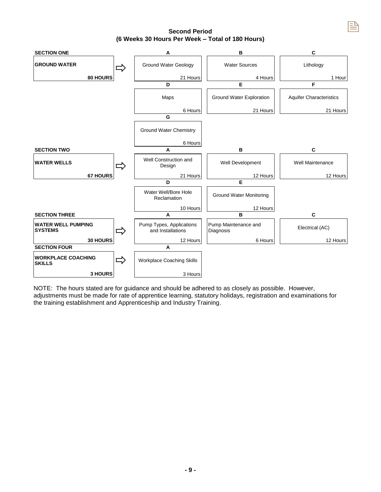**Second Period (6 Weeks 30 Hours Per Week – Total of 180 Hours)** 



NOTE: The hours stated are for guidance and should be adhered to as closely as possible. However, adjustments must be made for rate of apprentice learning, statutory holidays, registration and examinations for the training establishment and Apprenticeship and Industry Training.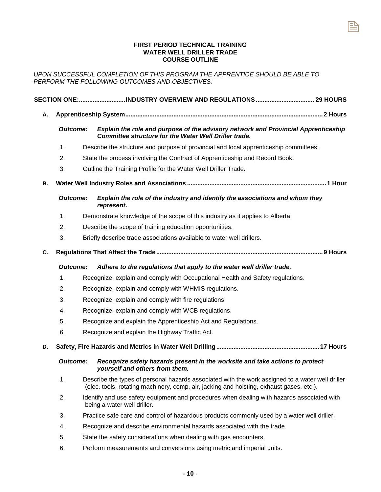## **FIRST PERIOD TECHNICAL TRAINING WATER WELL DRILLER TRADE COURSE OUTLINE**

랼

*UPON SUCCESSFUL COMPLETION OF THIS PROGRAM THE APPRENTICE SHOULD BE ABLE TO PERFORM THE FOLLOWING OUTCOMES AND OBJECTIVES*.

|    |                 |  | SECTION ONE:INDUSTRY OVERVIEW AND REGULATIONS  29 HOURS                                                                                                                                      |  |
|----|-----------------|--|----------------------------------------------------------------------------------------------------------------------------------------------------------------------------------------------|--|
| А. |                 |  |                                                                                                                                                                                              |  |
|    | <b>Outcome:</b> |  | Explain the role and purpose of the advisory network and Provincial Apprenticeship<br><b>Committee structure for the Water Well Driller trade.</b>                                           |  |
|    | 1.              |  | Describe the structure and purpose of provincial and local apprenticeship committees.                                                                                                        |  |
|    | 2.              |  | State the process involving the Contract of Apprenticeship and Record Book.                                                                                                                  |  |
|    | 3.              |  | Outline the Training Profile for the Water Well Driller Trade.                                                                                                                               |  |
| В. |                 |  |                                                                                                                                                                                              |  |
|    | <b>Outcome:</b> |  | Explain the role of the industry and identify the associations and whom they<br>represent.                                                                                                   |  |
|    | 1.              |  | Demonstrate knowledge of the scope of this industry as it applies to Alberta.                                                                                                                |  |
|    | 2.              |  | Describe the scope of training education opportunities.                                                                                                                                      |  |
|    | 3.              |  | Briefly describe trade associations available to water well drillers.                                                                                                                        |  |
| C. |                 |  |                                                                                                                                                                                              |  |
|    | <b>Outcome:</b> |  | Adhere to the regulations that apply to the water well driller trade.                                                                                                                        |  |
|    | 1.              |  | Recognize, explain and comply with Occupational Health and Safety regulations.                                                                                                               |  |
|    | 2.              |  | Recognize, explain and comply with WHMIS regulations.                                                                                                                                        |  |
|    | 3.              |  | Recognize, explain and comply with fire regulations.                                                                                                                                         |  |
|    | 4.              |  | Recognize, explain and comply with WCB regulations.                                                                                                                                          |  |
|    | 5.              |  | Recognize and explain the Apprenticeship Act and Regulations.                                                                                                                                |  |
|    | 6.              |  | Recognize and explain the Highway Traffic Act.                                                                                                                                               |  |
| D. |                 |  |                                                                                                                                                                                              |  |
|    | <b>Outcome:</b> |  | Recognize safety hazards present in the worksite and take actions to protect<br>yourself and others from them.                                                                               |  |
|    | 1.              |  | Describe the types of personal hazards associated with the work assigned to a water well driller<br>(elec. tools, rotating machinery, comp. air, jacking and hoisting, exhaust gases, etc.). |  |
|    | 2.              |  | Identify and use safety equipment and procedures when dealing with hazards associated with<br>being a water well driller.                                                                    |  |
|    | 3.              |  | Practice safe care and control of hazardous products commonly used by a water well driller.                                                                                                  |  |
|    | 4.              |  | Recognize and describe environmental hazards associated with the trade.                                                                                                                      |  |
|    | 5.              |  | State the safety considerations when dealing with gas encounters.                                                                                                                            |  |
|    | 6.              |  | Perform measurements and conversions using metric and imperial units.                                                                                                                        |  |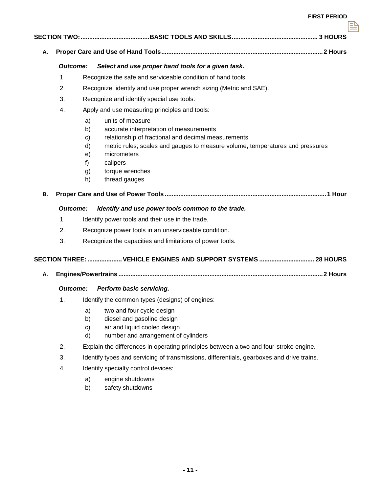| Α.        |                 |                                                        |                                                                                                                                                                                                                                                                    |
|-----------|-----------------|--------------------------------------------------------|--------------------------------------------------------------------------------------------------------------------------------------------------------------------------------------------------------------------------------------------------------------------|
|           | <b>Outcome:</b> |                                                        | Select and use proper hand tools for a given task.                                                                                                                                                                                                                 |
|           | 1.              |                                                        | Recognize the safe and serviceable condition of hand tools.                                                                                                                                                                                                        |
|           | 2.              |                                                        | Recognize, identify and use proper wrench sizing (Metric and SAE).                                                                                                                                                                                                 |
|           | 3.              |                                                        | Recognize and identify special use tools.                                                                                                                                                                                                                          |
|           | 4.              |                                                        | Apply and use measuring principles and tools:                                                                                                                                                                                                                      |
|           |                 | a)<br>b)<br>$\mathbf{c}$<br>d)<br>e)<br>f)<br>g)<br>h) | units of measure<br>accurate interpretation of measurements<br>relationship of fractional and decimal measurements<br>metric rules; scales and gauges to measure volume, temperatures and pressures<br>micrometers<br>calipers<br>torque wrenches<br>thread gauges |
| <b>B.</b> |                 |                                                        |                                                                                                                                                                                                                                                                    |
|           | <b>Outcome:</b> |                                                        | Identify and use power tools common to the trade.                                                                                                                                                                                                                  |
|           | 1.              |                                                        | Identify power tools and their use in the trade.                                                                                                                                                                                                                   |
|           | 2.              |                                                        | Recognize power tools in an unserviceable condition.                                                                                                                                                                                                               |
|           | 3.              |                                                        | Recognize the capacities and limitations of power tools.                                                                                                                                                                                                           |
|           |                 |                                                        | SECTION THREE:  VEHICLE ENGINES AND SUPPORT SYSTEMS  28 HOURS                                                                                                                                                                                                      |
| А.        |                 |                                                        |                                                                                                                                                                                                                                                                    |
|           | <b>Outcome:</b> |                                                        | Perform basic servicing.                                                                                                                                                                                                                                           |
|           | 1.              |                                                        | Identify the common types (designs) of engines:                                                                                                                                                                                                                    |
|           |                 | a)<br>b)<br>c)<br>d)                                   | two and four cycle design<br>diesel and gasoline design<br>air and liquid cooled design<br>number and arrangement of cylinders                                                                                                                                     |
|           | 2.              |                                                        | Explain the differences in operating principles between a two and four-stroke engine.                                                                                                                                                                              |
|           | 3.              |                                                        | Identify types and servicing of transmissions, differentials, gearboxes and drive trains.                                                                                                                                                                          |
|           | 4.              |                                                        | Identify specialty control devices:                                                                                                                                                                                                                                |
|           |                 | a)                                                     | engine shutdowns                                                                                                                                                                                                                                                   |

b) safety shutdowns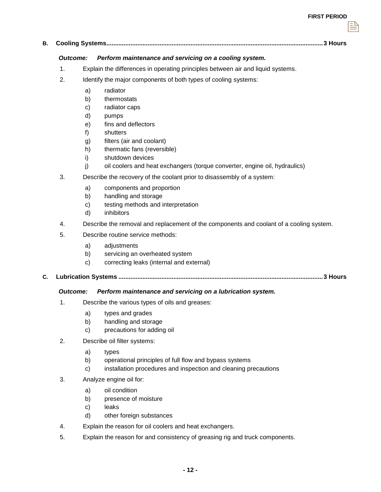## **B. Cooling Systems.............................................................................................................................. 3 Hours**

## *Outcome: Perform maintenance and servicing on a cooling system.*

- 1. Explain the differences in operating principles between air and liquid systems.
- 2. Identify the major components of both types of cooling systems:
	- a) radiator
	- b) thermostats
	- c) radiator caps
	- d) pumps
	- e) fins and deflectors
	- f) shutters
	- g) filters (air and coolant)
	- h) thermatic fans (reversible)
	- i) shutdown devices
	- j) oil coolers and heat exchangers (torque converter, engine oil, hydraulics)
- 3. Describe the recovery of the coolant prior to disassembly of a system:
	- a) components and proportion
	- b) handling and storage
	- c) testing methods and interpretation
	- d) inhibitors
- 4. Describe the removal and replacement of the components and coolant of a cooling system.
- 5. Describe routine service methods:
	- a) adjustments
	- b) servicing an overheated system
	- c) correcting leaks (internal and external)
- **C. Lubrication Systems ....................................................................................................................... 3 Hours**

## *Outcome: Perform maintenance and servicing on a lubrication system.*

- 1. Describe the various types of oils and greases:
	- a) types and grades
	- b) handling and storage
	- c) precautions for adding oil
- 2. Describe oil filter systems:
	- a) types
	- b) operational principles of full flow and bypass systems
	- c) installation procedures and inspection and cleaning precautions
- 3. Analyze engine oil for:
	- a) oil condition
	- b) presence of moisture
	- c) leaks
	- d) other foreign substances
- 4. Explain the reason for oil coolers and heat exchangers.
- 5. Explain the reason for and consistency of greasing rig and truck components.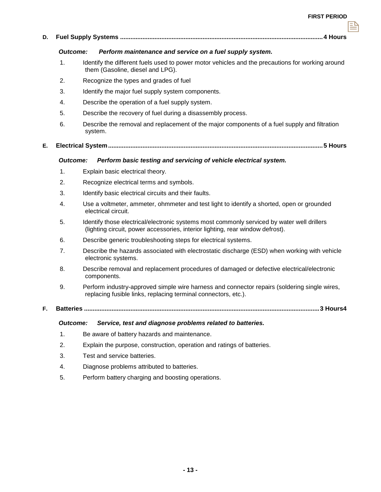## **D. Fuel Supply Systems ...................................................................................................................... 4 Hours**

#### *Outcome: Perform maintenance and service on a fuel supply system.*

- 1. Identify the different fuels used to power motor vehicles and the precautions for working around them (Gasoline, diesel and LPG).
- 2. Recognize the types and grades of fuel
- 3. Identify the major fuel supply system components.
- 4. Describe the operation of a fuel supply system.
- 5. Describe the recovery of fuel during a disassembly process.
- 6. Describe the removal and replacement of the major components of a fuel supply and filtration system.
- **E. Electrical System ............................................................................................................................. 5 Hours**

#### *Outcome: Perform basic testing and servicing of vehicle electrical system.*

- 1. Explain basic electrical theory.
- 2. Recognize electrical terms and symbols.
- 3. Identify basic electrical circuits and their faults.
- 4. Use a voltmeter, ammeter, ohmmeter and test light to identify a shorted, open or grounded electrical circuit.
- 5. Identify those electrical/electronic systems most commonly serviced by water well drillers (lighting circuit, power accessories, interior lighting, rear window defrost).
- 6. Describe generic troubleshooting steps for electrical systems.
- 7. Describe the hazards associated with electrostatic discharge (ESD) when working with vehicle electronic systems.
- 8. Describe removal and replacement procedures of damaged or defective electrical/electronic components.
- 9. Perform industry-approved simple wire harness and connector repairs (soldering single wires, replacing fusible links, replacing terminal connectors, etc.).
- **F. Batteries ......................................................................................................................................... 3 Hours4**

## *Outcome: Service, test and diagnose problems related to batteries.*

- 1. Be aware of battery hazards and maintenance.
- 2. Explain the purpose, construction, operation and ratings of batteries.
- 3. Test and service batteries.
- 4. Diagnose problems attributed to batteries.
- 5. Perform battery charging and boosting operations.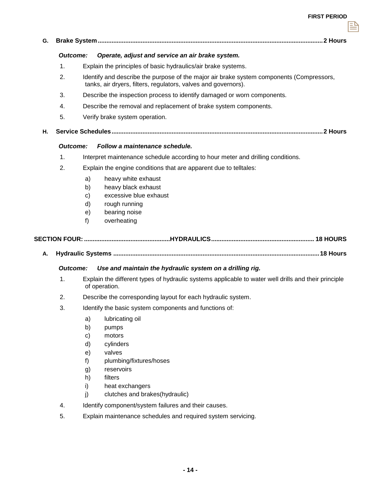| G. |                 |                                                                                                                                                            |  |
|----|-----------------|------------------------------------------------------------------------------------------------------------------------------------------------------------|--|
|    | <b>Outcome:</b> | Operate, adjust and service an air brake system.                                                                                                           |  |
|    | 1.              | Explain the principles of basic hydraulics/air brake systems.                                                                                              |  |
|    | 2.              | Identify and describe the purpose of the major air brake system components (Compressors,<br>tanks, air dryers, filters, regulators, valves and governors). |  |
|    | 3.              | Describe the inspection process to identify damaged or worn components.                                                                                    |  |
|    | 4.              | Describe the removal and replacement of brake system components.                                                                                           |  |
|    | 5.              | Verify brake system operation.                                                                                                                             |  |
| Η. |                 |                                                                                                                                                            |  |
|    | Outcome:        | Follow a maintenance schedule.                                                                                                                             |  |
|    | 1.              | Interpret maintenance schedule according to hour meter and drilling conditions.                                                                            |  |
|    | 2.              | Explain the engine conditions that are apparent due to telltales:                                                                                          |  |
|    |                 | heavy white exhaust<br>a)                                                                                                                                  |  |
|    |                 | heavy black exhaust<br>b)                                                                                                                                  |  |
|    |                 | excessive blue exhaust<br>C)                                                                                                                               |  |
|    |                 | rough running<br>d)                                                                                                                                        |  |
|    |                 | bearing noise<br>e)<br>overheating<br>f)                                                                                                                   |  |
|    |                 |                                                                                                                                                            |  |
|    |                 |                                                                                                                                                            |  |
|    |                 |                                                                                                                                                            |  |
| Α. |                 |                                                                                                                                                            |  |
|    | Outcome:        | Use and maintain the hydraulic system on a drilling rig.                                                                                                   |  |
|    | 1.              | Explain the different types of hydraulic systems applicable to water well drills and their principle<br>of operation.                                      |  |
|    | 2.              | Describe the corresponding layout for each hydraulic system.                                                                                               |  |
|    | 3.              | Identify the basic system components and functions of:                                                                                                     |  |
|    |                 | lubricating oil<br>a)                                                                                                                                      |  |
|    |                 | b)<br>pumps                                                                                                                                                |  |
|    |                 | c)<br>motors                                                                                                                                               |  |
|    |                 | d)<br>cylinders                                                                                                                                            |  |
|    |                 | valves<br>e)                                                                                                                                               |  |
|    |                 | plumbing/fixtures/hoses<br>f)                                                                                                                              |  |
|    |                 | reservoirs<br>g)                                                                                                                                           |  |
|    |                 | filters<br>h)<br>heat exchangers<br>i)                                                                                                                     |  |
|    |                 | clutches and brakes(hydraulic)<br>j)                                                                                                                       |  |
|    | 4.              | Identify component/system failures and their causes.                                                                                                       |  |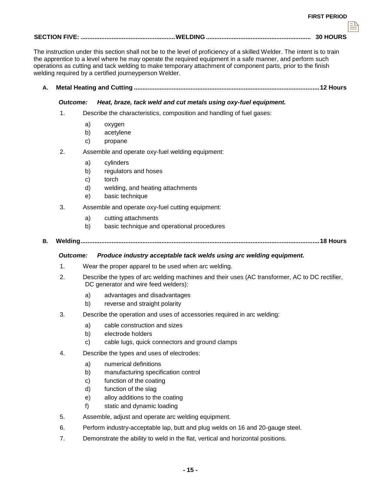|--|--|--|

The instruction under this section shall not be to the level of proficiency of a skilled Welder. The intent is to train the apprentice to a level where he may operate the required equipment in a safe manner, and perform such operations as cutting and tack welding to make temporary attachment of component parts, prior to the finish welding required by a certified journeyperson Welder.

**A. Metal Heating and Cutting ............................................................................................................ 12 Hours** 

## *Outcome: Heat, braze, tack weld and cut metals using oxy-fuel equipment.*

- 1. Describe the characteristics, composition and handling of fuel gases:
	- a) oxygen
	- b) acetylene
	- c) propane
- 2. Assemble and operate oxy-fuel welding equipment:
	- a) cylinders
	- b) regulators and hoses
	- c) torch
	- d) welding, and heating attachments
	- e) basic technique
- 3. Assemble and operate oxy-fuel cutting equipment:
	- a) cutting attachments
	- b) basic technique and operational procedures

## **B. Welding ........................................................................................................................................... 18 Hours**

#### *Outcome: Produce industry acceptable tack welds using arc welding equipment.*

- 1. Wear the proper apparel to be used when arc welding.
- 2. Describe the types of arc welding machines and their uses (AC transformer, AC to DC rectifier, DC generator and wire feed welders):
	- a) advantages and disadvantages
	- b) reverse and straight polarity
- 3. Describe the operation and uses of accessories required in arc welding:
	- a) cable construction and sizes
	- b) electrode holders
	- c) cable lugs, quick connectors and ground clamps
- 4. Describe the types and uses of electrodes:
	- a) numerical definitions
	- b) manufacturing specification control
	- c) function of the coating
	- d) function of the slag
	- e) alloy additions to the coating
	- f) static and dynamic loading
- 5. Assemble, adjust and operate arc welding equipment.
- 6. Perform industry-acceptable lap, butt and plug welds on 16 and 20-gauge steel.
- 7. Demonstrate the ability to weld in the flat, vertical and horizontal positions.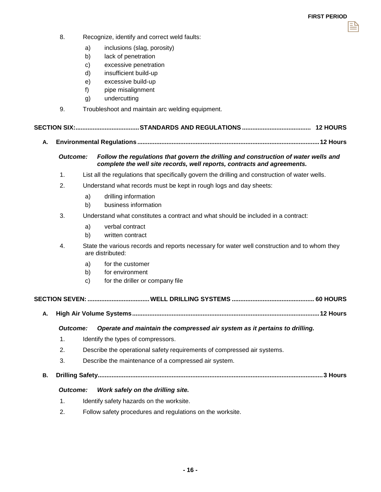- 8. Recognize, identify and correct weld faults:
	- a) inclusions (slag, porosity)
	- b) lack of penetration
	- c) excessive penetration
	- d) insufficient build-up
	- e) excessive build-up
	- f) pipe misalignment
	- g) undercutting
- 9. Troubleshoot and maintain arc welding equipment.

|--|--|--|

**A. Environmental Regulations .......................................................................................................... 12 Hours** 

## *Outcome: Follow the regulations that govern the drilling and construction of water wells and complete the well site records, well reports, contracts and agreements.*

- 1. List all the regulations that specifically govern the drilling and construction of water wells.
- 2. Understand what records must be kept in rough logs and day sheets:
	- a) drilling information
	- b) business information
- 3. Understand what constitutes a contract and what should be included in a contract:
	- a) verbal contract
	- b) written contract
- 4. State the various records and reports necessary for water well construction and to whom they are distributed:
	- a) for the customer
	- b) for environment
	- c) for the driller or company file

## **SECTION SEVEN: .................................... WELL DRILLING SYSTEMS ................................................ 60 HOURS**

**A. High Air Volume Systems ............................................................................................................. 12 Hours** 

#### *Outcome: Operate and maintain the compressed air system as it pertains to drilling.*

- 1. Identify the types of compressors.
- 2. Describe the operational safety requirements of compressed air systems.
- 3. Describe the maintenance of a compressed air system.
- **B. Drilling Safety ................................................................................................................................... 3 Hours**

## *Outcome: Work safely on the drilling site.*

- 1. Identify safety hazards on the worksite.
- 2. Follow safety procedures and regulations on the worksite.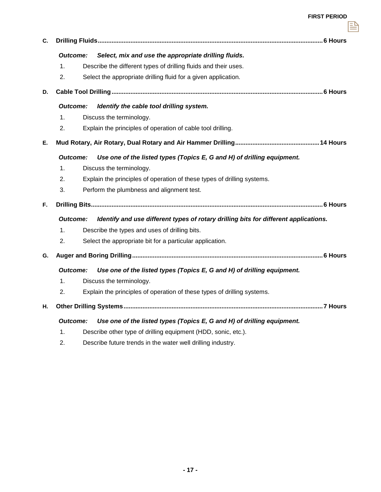랼

| C. |                 |                                                                                      |  |  |
|----|-----------------|--------------------------------------------------------------------------------------|--|--|
|    | <b>Outcome:</b> | Select, mix and use the appropriate drilling fluids.                                 |  |  |
|    | 1.              | Describe the different types of drilling fluids and their uses.                      |  |  |
|    | 2.              | Select the appropriate drilling fluid for a given application.                       |  |  |
| D. |                 |                                                                                      |  |  |
|    | <b>Outcome:</b> | Identify the cable tool drilling system.                                             |  |  |
|    | 1.              | Discuss the terminology.                                                             |  |  |
|    | 2.              | Explain the principles of operation of cable tool drilling.                          |  |  |
| Е. |                 |                                                                                      |  |  |
|    | <b>Outcome:</b> | Use one of the listed types (Topics E, G and H) of drilling equipment.               |  |  |
|    | 1.              | Discuss the terminology.                                                             |  |  |
|    | 2.              | Explain the principles of operation of these types of drilling systems.              |  |  |
|    | 3.              | Perform the plumbness and alignment test.                                            |  |  |
| F. |                 |                                                                                      |  |  |
|    | Outcome:        | Identify and use different types of rotary drilling bits for different applications. |  |  |
|    | 1.              | Describe the types and uses of drilling bits.                                        |  |  |
|    | 2.              | Select the appropriate bit for a particular application.                             |  |  |
| G. |                 |                                                                                      |  |  |
|    | Outcome:        | Use one of the listed types (Topics E, G and H) of drilling equipment.               |  |  |
|    | 1.              | Discuss the terminology.                                                             |  |  |
|    | 2.              | Explain the principles of operation of these types of drilling systems.              |  |  |
| Н. |                 |                                                                                      |  |  |
|    | <b>Outcome:</b> | Use one of the listed types (Topics E, G and H) of drilling equipment.               |  |  |
|    |                 |                                                                                      |  |  |

- 1. Describe other type of drilling equipment (HDD, sonic, etc.).
- 2. Describe future trends in the water well drilling industry.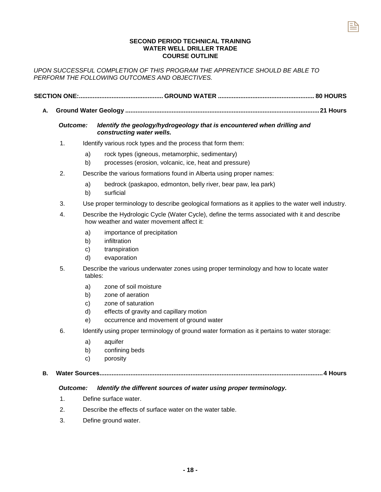## **SECOND PERIOD TECHNICAL TRAINING WATER WELL DRILLER TRADE COURSE OUTLINE**

 **SECTION ONE:................................................. GROUND WATER ........................................................ 80 HOURS** 

**A. Ground Water Geology ................................................................................................................. 21 Hours** 

*UPON SUCCESSFUL COMPLETION OF THIS PROGRAM THE APPRENTICE SHOULD BE ABLE TO PERFORM THE FOLLOWING OUTCOMES AND OBJECTIVES.* 

| <b>Outcome:</b> |                            | Identify the geology/hydrogeology that is encountered when drilling and<br>constructing water wells.                                                  |
|-----------------|----------------------------|-------------------------------------------------------------------------------------------------------------------------------------------------------|
| 1.              |                            | Identify various rock types and the process that form them:                                                                                           |
|                 | a)<br>b)                   | rock types (igneous, metamorphic, sedimentary)<br>processes (erosion, volcanic, ice, heat and pressure)                                               |
| 2.              |                            | Describe the various formations found in Alberta using proper names:                                                                                  |
|                 | a)<br>b)                   | bedrock (paskapoo, edmonton, belly river, bear paw, lea park)<br>surficial                                                                            |
| 3.              |                            | Use proper terminology to describe geological formations as it applies to the water well industry.                                                    |
| 4.              |                            | Describe the Hydrologic Cycle (Water Cycle), define the terms associated with it and describe<br>how weather and water movement affect it:            |
|                 | a)<br>b)<br>c)<br>d)       | importance of precipitation<br>infiltration<br>transpiration<br>evaporation                                                                           |
| 5.              | tables:                    | Describe the various underwater zones using proper terminology and how to locate water                                                                |
|                 | a)<br>b)<br>C)<br>d)<br>e) | zone of soil moisture<br>zone of aeration<br>zone of saturation<br>effects of gravity and capillary motion<br>occurrence and movement of ground water |
| 6.              |                            | Identify using proper terminology of ground water formation as it pertains to water storage:                                                          |
|                 | a)<br>b)<br>$\mathbf{c}$   | aquifer<br>confining beds<br>porosity                                                                                                                 |

## *Outcome: Identify the different sources of water using proper terminology.*

- 1. Define surface water.
- 2. Describe the effects of surface water on the water table.
- 3. Define ground water.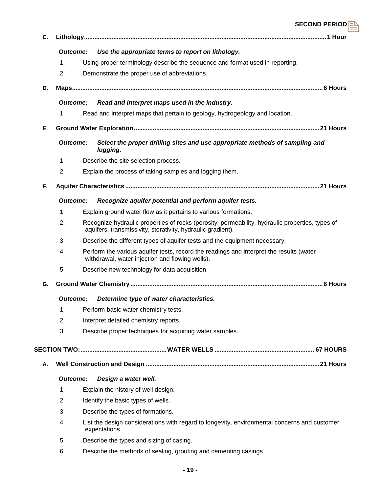|    |                 |                                                                                                                                                                | SECOND PERIODE |
|----|-----------------|----------------------------------------------------------------------------------------------------------------------------------------------------------------|----------------|
| C. |                 |                                                                                                                                                                |                |
|    | Outcome:        | Use the appropriate terms to report on lithology.                                                                                                              |                |
|    | 1.              | Using proper terminology describe the sequence and format used in reporting.                                                                                   |                |
|    | 2.              | Demonstrate the proper use of abbreviations.                                                                                                                   |                |
| D. |                 |                                                                                                                                                                |                |
|    | Outcome:        | Read and interpret maps used in the industry.                                                                                                                  |                |
|    | 1.              | Read and interpret maps that pertain to geology, hydrogeology and location.                                                                                    |                |
| Е. |                 |                                                                                                                                                                |                |
|    | <b>Outcome:</b> | Select the proper drilling sites and use appropriate methods of sampling and<br>logging.                                                                       |                |
|    | $\mathbf{1}$ .  | Describe the site selection process.                                                                                                                           |                |
|    | 2.              | Explain the process of taking samples and logging them.                                                                                                        |                |
| F. |                 |                                                                                                                                                                |                |
|    | Outcome:        | Recognize aquifer potential and perform aquifer tests.                                                                                                         |                |
|    | $\mathbf 1$ .   | Explain ground water flow as it pertains to various formations.                                                                                                |                |
|    | 2.              | Recognize hydraulic properties of rocks (porosity, permeability, hydraulic properties, types of<br>aquifers, transmissivity, storativity, hydraulic gradient). |                |
|    | 3.              | Describe the different types of aquifer tests and the equipment necessary.                                                                                     |                |
|    | 4.              | Perform the various aquifer tests, record the readings and interpret the results (water<br>withdrawal, water injection and flowing wells).                     |                |
|    | 5.              | Describe new technology for data acquisition.                                                                                                                  |                |
| G. |                 |                                                                                                                                                                |                |
|    | Outcome:        | Determine type of water characteristics.                                                                                                                       |                |
|    | 1.              | Perform basic water chemistry tests.                                                                                                                           |                |
|    | 2.              | Interpret detailed chemistry reports.                                                                                                                          |                |
|    | 3.              | Describe proper techniques for acquiring water samples.                                                                                                        |                |
|    |                 |                                                                                                                                                                |                |
| Α. |                 |                                                                                                                                                                |                |
|    | <b>Outcome:</b> | Design a water well.                                                                                                                                           |                |
|    | 1.              | Explain the history of well design.                                                                                                                            |                |
|    | 2.              | Identify the basic types of wells.                                                                                                                             |                |
|    | 3.              | Describe the types of formations.                                                                                                                              |                |
|    | 4.              | List the design considerations with regard to longevity, environmental concerns and customer<br>expectations.                                                  |                |
|    | 5.              | Describe the types and sizing of casing.                                                                                                                       |                |
|    | 6.              | Describe the methods of sealing, grouting and cementing casings.                                                                                               |                |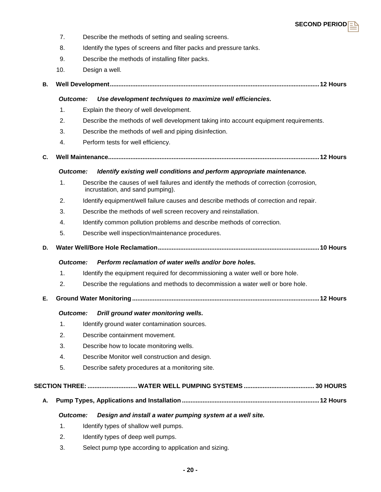

- 7. Describe the methods of setting and sealing screens.
- 8. Identify the types of screens and filter packs and pressure tanks.
- 9. Describe the methods of installing filter packs.
- 10. Design a well.

```
B. Well Development .......................................................................................................................... 12 Hours
```
## *Outcome: Use development techniques to maximize well efficiencies.*

- 1. Explain the theory of well development.
- 2. Describe the methods of well development taking into account equipment requirements.
- 3. Describe the methods of well and piping disinfection.
- 4. Perform tests for well efficiency.
- **C. Well Maintenance........................................................................................................................... 12 Hours**

## *Outcome: Identify existing well conditions and perform appropriate maintenance.*

- 1. Describe the causes of well failures and identify the methods of correction (corrosion, incrustation, and sand pumping).
- 2. Identify equipment/well failure causes and describe methods of correction and repair.
- 3. Describe the methods of well screen recovery and reinstallation.
- 4. Identify common pollution problems and describe methods of correction.
- 5. Describe well inspection/maintenance procedures.
- **D. Water Well/Bore Hole Reclamation .............................................................................................. 10 Hours**

## *Outcome: Perform reclamation of water wells and/or bore holes.*

- 1. Identify the equipment required for decommissioning a water well or bore hole.
- 2. Describe the regulations and methods to decommission a water well or bore hole.
- **E. Ground Water Monitoring ............................................................................................................. 12 Hours**

## *Outcome: Drill ground water monitoring wells.*

- 1. Identify ground water contamination sources.
- 2. Describe containment movement.
- 3. Describe how to locate monitoring wells.
- 4. Describe Monitor well construction and design.
- 5. Describe safety procedures at a monitoring site.

## **SECTION THREE: ............................. WATER WELL PUMPING SYSTEMS ......................................... 30 HOURS**

**A. Pump Types, Applications and Installation ................................................................................ 12 Hours** 

## *Outcome: Design and install a water pumping system at a well site.*

- 1. Identify types of shallow well pumps.
- 2. Identify types of deep well pumps.
- 3. Select pump type according to application and sizing.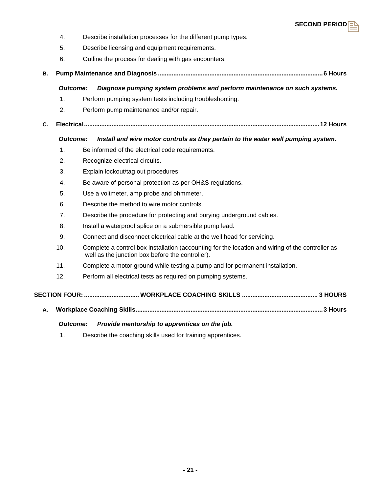

- 4. Describe installation processes for the different pump types.
- 5. Describe licensing and equipment requirements.
- 6. Outline the process for dealing with gas encounters.
- **B. Pump Maintenance and Diagnosis ................................................................................................ 6 Hours**

## *Outcome: Diagnose pumping system problems and perform maintenance on such systems.*

- 1. Perform pumping system tests including troubleshooting.
- 2. Perform pump maintenance and/or repair.
- **C. Electrical ......................................................................................................................................... 12 Hours**

## *Outcome: Install and wire motor controls as they pertain to the water well pumping system.*

- 1. Be informed of the electrical code requirements.
- 2. Recognize electrical circuits.
- 3. Explain lockout/tag out procedures.
- 4. Be aware of personal protection as per OH&S regulations.
- 5. Use a voltmeter, amp probe and ohmmeter.
- 6. Describe the method to wire motor controls.
- 7. Describe the procedure for protecting and burying underground cables.
- 8. Install a waterproof splice on a submersible pump lead.
- 9. Connect and disconnect electrical cable at the well head for servicing.
- 10. Complete a control box installation (accounting for the location and wiring of the controller as well as the junction box before the controller).
- 11. Complete a motor ground while testing a pump and for permanent installation.
- 12. Perform all electrical tests as required on pumping systems.

 **SECTION FOUR: ................................ WORKPLACE COACHING SKILLS ............................................ 3 HOURS** 

**A. Workplace Coaching Skills ............................................................................................................. 3 Hours** 

## *Outcome: Provide mentorship to apprentices on the job.*

1. Describe the coaching skills used for training apprentices.